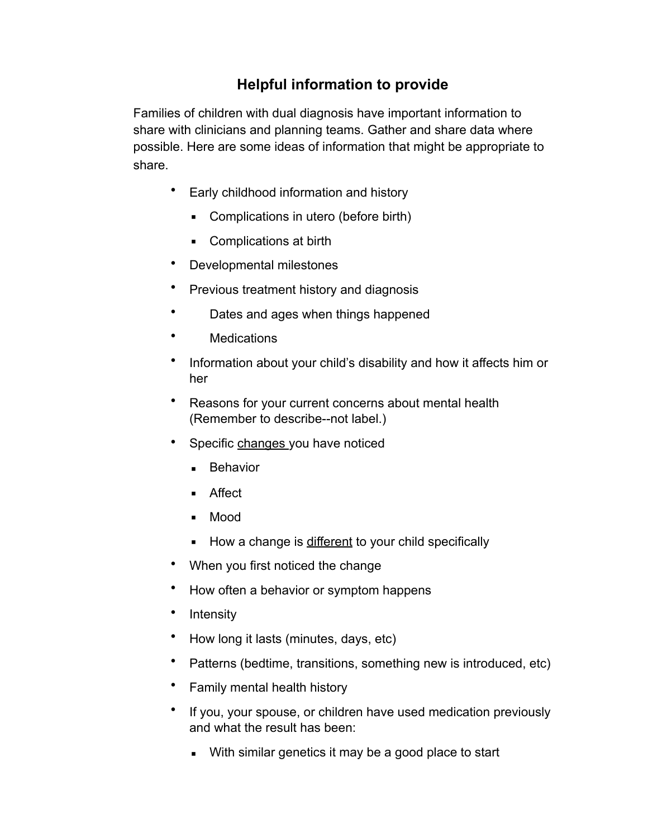## **Helpful information to provide**

Families of children with dual diagnosis have important information to share with clinicians and planning teams. Gather and share data where possible. Here are some ideas of information that might be appropriate to share.

- Early childhood information and history
	- Complications in utero (before birth)
	- Complications at birth
- Developmental milestones
- Previous treatment history and diagnosis
- Dates and ages when things happened
- **Medications**
- Information about your child's disability and how it affects him or her
- Reasons for your current concerns about mental health (Remember to describe--not label.)
- Specific changes you have noticed
	- Behavior
	- Affect
	- Mood
	- **EXEDENT** How a change is different to your child specifically
- When you first noticed the change
- How often a behavior or symptom happens
- **Intensity**
- How long it lasts (minutes, days, etc)
- Patterns (bedtime, transitions, something new is introduced, etc)
- Family mental health history
- If you, your spouse, or children have used medication previously and what the result has been:
	- **EXECT** With similar genetics it may be a good place to start